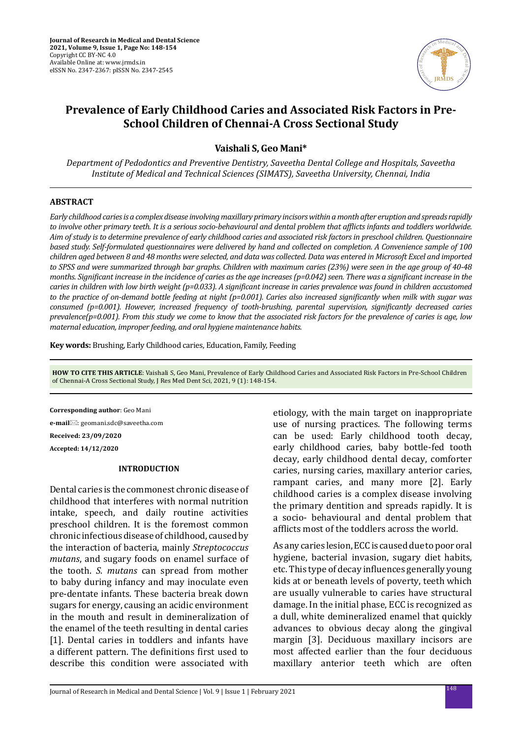

# **Prevalence of Early Childhood Caries and Associated Risk Factors in Pre-School Children of Chennai-A Cross Sectional Study**

**Vaishali S, Geo Mani\***

*Department of Pedodontics and Preventive Dentistry, Saveetha Dental College and Hospitals, Saveetha Institute of Medical and Technical Sciences (SIMATS), Saveetha University, Chennai, India*

## **ABSTRACT**

*Early childhood caries is a complex disease involving maxillary primary incisors within a month after eruption and spreads rapidly to involve other primary teeth. It is a serious socio-behavioural and dental problem that afflicts infants and toddlers worldwide. Aim of study is to determine prevalence of early childhood caries and associated risk factors in preschool children. Questionnaire based study. Self-formulated questionnaires were delivered by hand and collected on completion. A Convenience sample of 100 children aged between 8 and 48 months were selected, and data was collected. Data was entered in Microsoft Excel and imported to SPSS and were summarized through bar graphs. Children with maximum caries (23%) were seen in the age group of 40-48 months. Significant increase in the incidence of caries as the age increases (p=0.042) seen. There was a significant increase in the caries in children with low birth weight (p=0.033). A significant increase in caries prevalence was found in children accustomed to the practice of on-demand bottle feeding at night (p=0.001). Caries also increased significantly when milk with sugar was consumed (p=0.001). However, increased frequency of tooth-brushing, parental supervision, significantly decreased caries prevalence(p=0.001). From this study we come to know that the associated risk factors for the prevalence of caries is age, low maternal education, improper feeding, and oral hygiene maintenance habits.*

**Key words:** Brushing, Early Childhood caries, Education, Family, Feeding

**HOW TO CITE THIS ARTICLE**: Vaishali S, Geo Mani, Prevalence of Early Childhood Caries and Associated Risk Factors in Pre-School Children of Chennai-A Cross Sectional Study, J Res Med Dent Sci, 2021, 9 (1): 148-154.

**Corresponding author**: Geo Mani **e-mail**⊠: geomani.sdc@saveetha.com **Received: 23/09/2020 Accepted: 14/12/2020**

#### **INTRODUCTION**

Dental caries is the commonest chronic disease of childhood that interferes with normal nutrition intake, speech, and daily routine activities preschool children. It is the foremost common chronic infectious disease of childhood, caused by the interaction of bacteria, mainly *Streptococcus mutans*, and sugary foods on enamel surface of the tooth. *S. mutans* can spread from mother to baby during infancy and may inoculate even pre-dentate infants. These bacteria break down sugars for energy, causing an acidic environment in the mouth and result in demineralization of the enamel of the teeth resulting in dental caries [1]. Dental caries in toddlers and infants have a different pattern. The definitions first used to describe this condition were associated with etiology, with the main target on inappropriate use of nursing practices. The following terms can be used: Early childhood tooth decay, early childhood caries, baby bottle-fed tooth decay, early childhood dental decay, comforter caries, nursing caries, maxillary anterior caries, rampant caries, and many more [2]. Early childhood caries is a complex disease involving the primary dentition and spreads rapidly. It is a socio- behavioural and dental problem that afflicts most of the toddlers across the world.

As any caries lesion, ECC is caused due to poor oral hygiene, bacterial invasion, sugary diet habits, etc. This type of decay influences generally young kids at or beneath levels of poverty, teeth which are usually vulnerable to caries have structural damage. In the initial phase, ECC is recognized as a dull, white demineralized enamel that quickly advances to obvious decay along the gingival margin [3]. Deciduous maxillary incisors are most affected earlier than the four deciduous maxillary anterior teeth which are often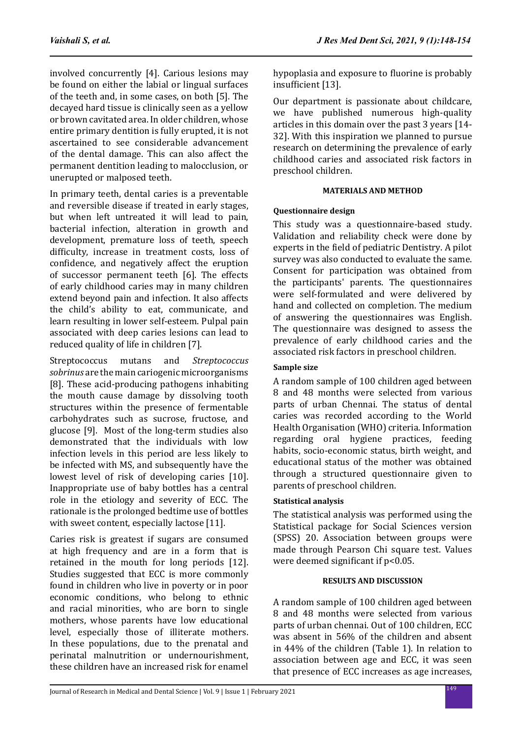involved concurrently [4]. Carious lesions may be found on either the labial or lingual surfaces of the teeth and, in some cases, on both [5]. The decayed hard tissue is clinically seen as a yellow or brown cavitated area. In older children, whose entire primary dentition is fully erupted, it is not ascertained to see considerable advancement of the dental damage. This can also affect the permanent dentition leading to malocclusion, or unerupted or malposed teeth.

In primary teeth, dental caries is a preventable and reversible disease if treated in early stages, but when left untreated it will lead to pain, bacterial infection, alteration in growth and development, premature loss of teeth, speech difficulty, increase in treatment costs, loss of confidence, and negatively affect the eruption of successor permanent teeth [6]. The effects of early childhood caries may in many children extend beyond pain and infection. It also affects the child's ability to eat, communicate, and learn resulting in lower self-esteem. Pulpal pain associated with deep caries lesions can lead to reduced quality of life in children [7].

Streptococcus mutans and *Streptococcus sobrinus* are the main cariogenic microorganisms [8]. These acid-producing pathogens inhabiting the mouth cause damage by dissolving tooth structures within the presence of fermentable carbohydrates such as sucrose, fructose, and glucose [9]. Most of the long-term studies also demonstrated that the individuals with low infection levels in this period are less likely to be infected with MS, and subsequently have the lowest level of risk of developing caries [10]. Inappropriate use of baby bottles has a central role in the etiology and severity of ECC. The rationale is the prolonged bedtime use of bottles with sweet content, especially lactose [11].

Caries risk is greatest if sugars are consumed at high frequency and are in a form that is retained in the mouth for long periods [12]. Studies suggested that ECC is more commonly found in children who live in poverty or in poor economic conditions, who belong to ethnic and racial minorities, who are born to single mothers, whose parents have low educational level, especially those of illiterate mothers. In these populations, due to the prenatal and perinatal malnutrition or undernourishment, these children have an increased risk for enamel hypoplasia and exposure to fluorine is probably insufficient [13].

Our department is passionate about childcare, we have published numerous high-quality articles in this domain over the past 3 years [14- 32]. With this inspiration we planned to pursue research on determining the prevalence of early childhood caries and associated risk factors in preschool children.

## **MATERIALS AND METHOD**

# **Questionnaire design**

This study was a questionnaire-based study. Validation and reliability check were done by experts in the field of pediatric Dentistry. A pilot survey was also conducted to evaluate the same. Consent for participation was obtained from the participants' parents. The questionnaires were self-formulated and were delivered by hand and collected on completion. The medium of answering the questionnaires was English. The questionnaire was designed to assess the prevalence of early childhood caries and the associated risk factors in preschool children.

# **Sample size**

A random sample of 100 children aged between 8 and 48 months were selected from various parts of urban Chennai. The status of dental caries was recorded according to the World Health Organisation (WHO) criteria. Information regarding oral hygiene practices, feeding habits, socio-economic status, birth weight, and educational status of the mother was obtained through a structured questionnaire given to parents of preschool children.

# **Statistical analysis**

The statistical analysis was performed using the Statistical package for Social Sciences version (SPSS) 20. Association between groups were made through Pearson Chi square test. Values were deemed significant if  $p<0.05$ .

## **RESULTS AND DISCUSSION**

A random sample of 100 children aged between 8 and 48 months were selected from various parts of urban chennai. Out of 100 children, ECC was absent in 56% of the children and absent in 44% of the children (Table 1). In relation to association between age and ECC, it was seen that presence of ECC increases as age increases,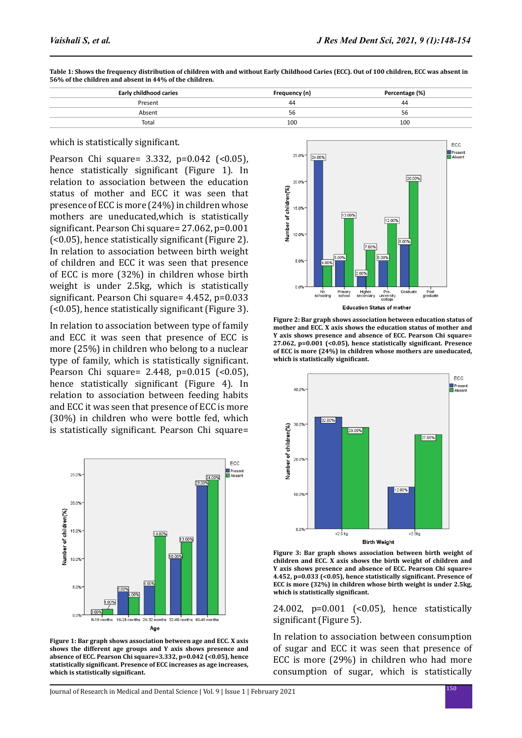| Early childhood caries | Frequency (n) | Percentage (%) |
|------------------------|---------------|----------------|
| Present                | 44            | 44             |
| Absent                 | 56            | 56             |
| Total                  | 100           | 100            |

**Table 1: Shows the frequency distribution of children with and without Early Childhood Caries (ECC). Out of 100 children, ECC was absent in 56% of the children and absent in 44% of the children.**

### which is statistically significant.

Pearson Chi square= 3.332, p=0.042 (<0.05). hence statistically significant (Figure 1). In relation to association between the education status of mother and ECC it was seen that presence of ECC is more (24%) in children whose mothers are uneducated,which is statistically significant. Pearson Chi square= 27.062, p=0.001 (<0.05), hence statistically significant (Figure 2). In relation to association between birth weight of children and ECC it was seen that presence of ECC is more (32%) in children whose birth weight is under 2.5kg, which is statistically significant. Pearson Chi square= 4.452, p=0.033 (<0.05), hence statistically significant (Figure 3).

In relation to association between type of family and ECC it was seen that presence of ECC is more (25%) in children who belong to a nuclear type of family, which is statistically significant. Pearson Chi square= 2.448,  $p=0.015$  (<0.05), hence statistically significant (Figure 4). In relation to association between feeding habits and ECC it was seen that presence of ECC is more (30%) in children who were bottle fed, which is statistically significant. Pearson Chi square=



**Figure 1: Bar graph shows association between age and ECC. X axis shows the different age groups and Y axis shows presence and absence of ECC. Pearson Chi square=3.332, p=0.042 (<0.05), hence statistically significant. Presence of ECC increases as age increases, which is statistically significant.**



**Figure 2: Bar graph shows association between education status of mother and ECC. X axis shows the education status of mother and Y axis shows presence and absence of ECC. Pearson Chi square= 27.062, p=0.001 (<0.05), hence statistically significant. Presence of ECC is more (24%) in children whose mothers are uneducated, which is statistically significant.**



**Figure 3: Bar graph shows association between birth weight of children and ECC. X axis shows the birth weight of children and Y axis shows presence and absence of ECC. Pearson Chi square= 4.452, p=0.033 (<0.05), hence statistically significant. Presence of ECC is more (32%) in children whose birth weight is under 2.5kg, which is statistically significant.**

24.002, p=0.001 (<0.05), hence statistically significant (Figure 5).

In relation to association between consumption of sugar and ECC it was seen that presence of ECC is more (29%) in children who had more consumption of sugar, which is statistically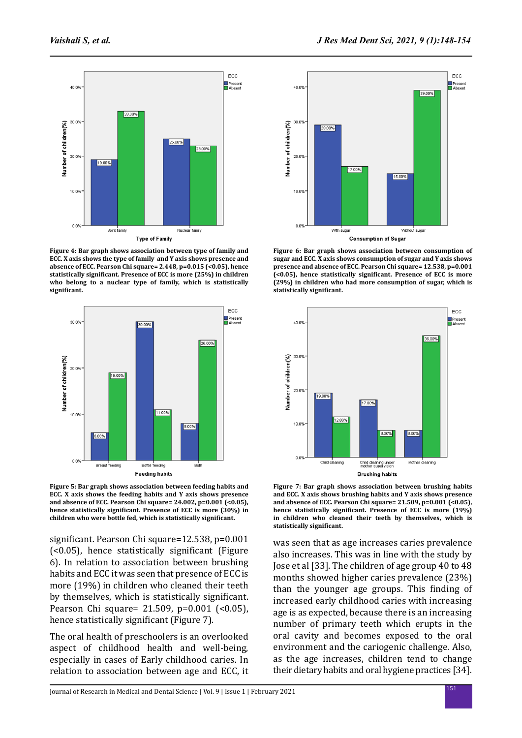

**Figure 4: Bar graph shows association between type of family and ECC. X axis shows the type of family and Y axis shows presence and absence of ECC. Pearson Chi square= 2.448, p=0.015 (<0.05), hence statistically significant. Presence of ECC is more (25%) in children who belong to a nuclear type of family, which is statistically significant.**



**Figure 5: Bar graph shows association between feeding habits and ECC. X axis shows the feeding habits and Y axis shows presence and absence of ECC. Pearson Chi square= 24.002, p=0.001 (<0.05), hence statistically significant. Presence of ECC is more (30%) in children who were bottle fed, which is statistically significant.**

significant. Pearson Chi square=12.538, p=0.001 (<0.05), hence statistically significant (Figure 6). In relation to association between brushing habits and ECC it was seen that presence of ECC is more (19%) in children who cleaned their teeth by themselves, which is statistically significant. Pearson Chi square= 21.509, p=0.001 (<0.05), hence statistically significant (Figure 7).

The oral health of preschoolers is an overlooked aspect of childhood health and well-being, especially in cases of Early childhood caries. In relation to association between age and ECC, it



**Figure 6: Bar graph shows association between consumption of sugar and ECC. X axis shows consumption of sugar and Y axis shows presence and absence of ECC. Pearson Chi square= 12.538, p=0.001 (<0.05), hence statistically significant. Presence of ECC is more (29%) in children who had more consumption of sugar, which is statistically significant.**



**Figure 7: Bar graph shows association between brushing habits and ECC. X axis shows brushing habits and Y axis shows presence and absence of ECC. Pearson Chi square= 21.509, p=0.001 (<0.05), hence statistically significant. Presence of ECC is more (19%) in children who cleaned their teeth by themselves, which is statistically significant.**

was seen that as age increases caries prevalence also increases. This was in line with the study by Jose et al [33]. The children of age group 40 to 48 months showed higher caries prevalence (23%) than the younger age groups. This finding of increased early childhood caries with increasing age is as expected, because there is an increasing number of primary teeth which erupts in the oral cavity and becomes exposed to the oral environment and the cariogenic challenge. Also, as the age increases, children tend to change their dietary habits and oral hygiene practices [34].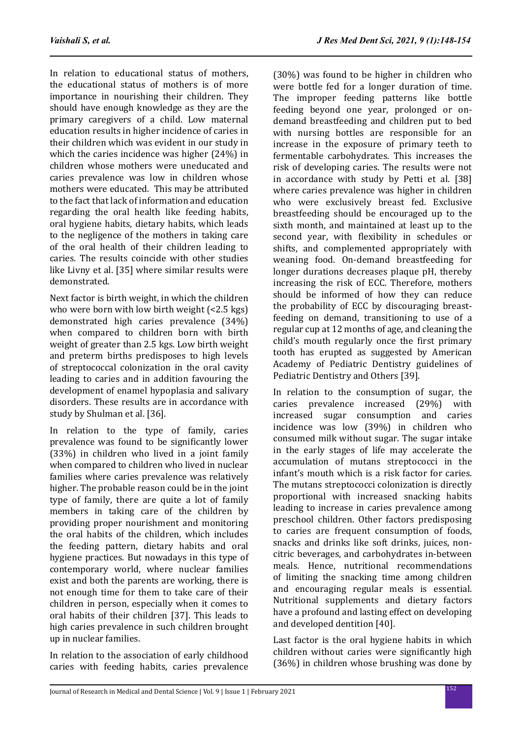In relation to educational status of mothers, the educational status of mothers is of more importance in nourishing their children. They should have enough knowledge as they are the primary caregivers of a child. Low maternal education results in higher incidence of caries in their children which was evident in our study in which the caries incidence was higher (24%) in children whose mothers were uneducated and caries prevalence was low in children whose mothers were educated. This may be attributed to the fact that lack of information and education regarding the oral health like feeding habits, oral hygiene habits, dietary habits, which leads to the negligence of the mothers in taking care of the oral health of their children leading to caries. The results coincide with other studies like Livny et al. [35] where similar results were demonstrated.

Next factor is birth weight, in which the children who were born with low birth weight (<2.5 kgs) demonstrated high caries prevalence (34%) when compared to children born with birth weight of greater than 2.5 kgs. Low birth weight and preterm births predisposes to high levels of streptococcal colonization in the oral cavity leading to caries and in addition favouring the development of enamel hypoplasia and salivary disorders. These results are in accordance with study by Shulman et al. [36].

In relation to the type of family, caries prevalence was found to be significantly lower (33%) in children who lived in a joint family when compared to children who lived in nuclear families where caries prevalence was relatively higher. The probable reason could be in the joint type of family, there are quite a lot of family members in taking care of the children by providing proper nourishment and monitoring the oral habits of the children, which includes the feeding pattern, dietary habits and oral hygiene practices. But nowadays in this type of contemporary world, where nuclear families exist and both the parents are working, there is not enough time for them to take care of their children in person, especially when it comes to oral habits of their children [37]. This leads to high caries prevalence in such children brought up in nuclear families.

In relation to the association of early childhood caries with feeding habits, caries prevalence (30%) was found to be higher in children who were bottle fed for a longer duration of time. The improper feeding patterns like bottle feeding beyond one year, prolonged or ondemand breastfeeding and children put to bed with nursing bottles are responsible for an increase in the exposure of primary teeth to fermentable carbohydrates. This increases the risk of developing caries. The results were not in accordance with study by Petti et al. [38] where caries prevalence was higher in children who were exclusively breast fed. Exclusive breastfeeding should be encouraged up to the sixth month, and maintained at least up to the second year, with flexibility in schedules or shifts, and complemented appropriately with weaning food. On-demand breastfeeding for longer durations decreases plaque pH, thereby increasing the risk of ECC. Therefore, mothers should be informed of how they can reduce the probability of ECC by discouraging breastfeeding on demand, transitioning to use of a regular cup at 12 months of age, and cleaning the child's mouth regularly once the first primary tooth has erupted as suggested by American Academy of Pediatric Dentistry guidelines of Pediatric Dentistry and Others [39].

In relation to the consumption of sugar, the caries prevalence increased (29%) with increased sugar consumption and caries incidence was low (39%) in children who consumed milk without sugar. The sugar intake in the early stages of life may accelerate the accumulation of mutans streptococci in the infant's mouth which is a risk factor for caries. The mutans streptococci colonization is directly proportional with increased snacking habits leading to increase in caries prevalence among preschool children. Other factors predisposing to caries are frequent consumption of foods, snacks and drinks like soft drinks, juices, noncitric beverages, and carbohydrates in-between meals. Hence, nutritional recommendations of limiting the snacking time among children and encouraging regular meals is essential. Nutritional supplements and dietary factors have a profound and lasting effect on developing and developed dentition [40].

Last factor is the oral hygiene habits in which children without caries were significantly high (36%) in children whose brushing was done by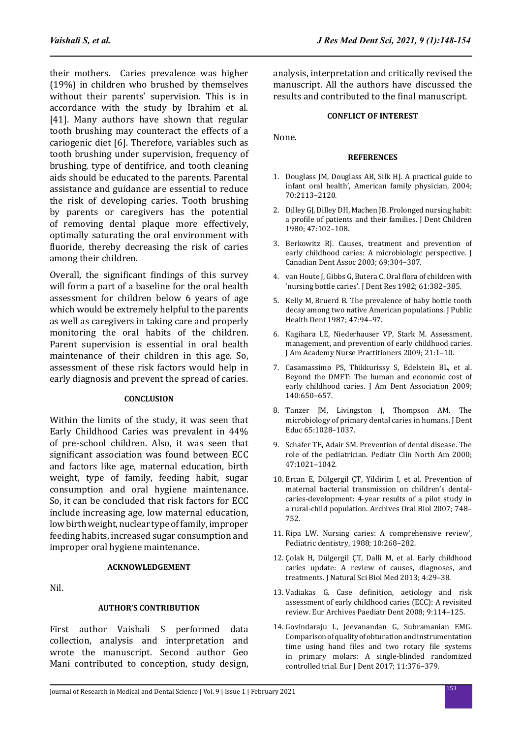their mothers. Caries prevalence was higher (19%) in children who brushed by themselves without their parents' supervision. This is in accordance with the study by Ibrahim et al. [41]. Many authors have shown that regular tooth brushing may counteract the effects of a cariogenic diet [6]. Therefore, variables such as tooth brushing under supervision, frequency of brushing, type of dentifrice, and tooth cleaning aids should be educated to the parents. Parental assistance and guidance are essential to reduce the risk of developing caries. Tooth brushing by parents or caregivers has the potential of removing dental plaque more effectively, optimally saturating the oral environment with fluoride, thereby decreasing the risk of caries among their children.

Overall, the significant findings of this survey will form a part of a baseline for the oral health assessment for children below 6 years of age which would be extremely helpful to the parents as well as caregivers in taking care and properly monitoring the oral habits of the children. Parent supervision is essential in oral health maintenance of their children in this age. So, assessment of these risk factors would help in early diagnosis and prevent the spread of caries.

### **CONCLUSION**

Within the limits of the study, it was seen that Early Childhood Caries was prevalent in 44% of pre-school children. Also, it was seen that significant association was found between ECC and factors like age, maternal education, birth weight, type of family, feeding habit, sugar consumption and oral hygiene maintenance. So, it can be concluded that risk factors for ECC include increasing age, low maternal education, low birth weight, nuclear type of family, improper feeding habits, increased sugar consumption and improper oral hygiene maintenance.

## **ACKNOWLEDGEMENT**

Nil.

## **AUTHOR'S CONTRIBUTION**

First author Vaishali S performed data collection, analysis and interpretation and wrote the manuscript. Second author Geo Mani contributed to conception, study design, analysis, interpretation and critically revised the manuscript. All the authors have discussed the results and contributed to the final manuscript.

#### **CONFLICT OF INTEREST**

None.

#### **REFERENCES**

- 1. Douglass JM, Douglass AB, Silk HJ. A practical guide to infant oral health', American family physician, 2004; 70:2113–2120.
- 2. Dilley GJ, Dilley DH, Machen JB. Prolonged nursing habit: a profile of patients and their families. J Dent Children 1980; 47:102–108.
- 3. Berkowitz RJ. Causes, treatment and prevention of early childhood caries: A microbiologic perspective. J Canadian Dent Assoc 2003; 69:304–307.
- 4. van Houte J, Gibbs G, Butera C. Oral flora of children with 'nursing bottle caries'. J Dent Res 1982; 61:382–385.
- 5. Kelly M, Bruerd B. The prevalence of baby bottle tooth decay among two native American populations. J Public Health Dent 1987; 47:94–97.
- 6. Kagihara LE, Niederhauser VP, Stark M. Assessment, management, and prevention of early childhood caries. J Am Academy Nurse Practitioners 2009; 21:1–10.
- 7. Casamassimo PS, Thikkurissy S, Edelstein BL, et al. Beyond the DMFT: The human and economic cost of early childhood caries. J Am Dent Association 2009; 140:650–657.
- 8. Tanzer JM, Livingston J, Thompson AM. The microbiology of primary dental caries in humans. J Dent Educ 65:1028–1037.
- 9. Schafer TE, Adair SM. Prevention of dental disease. The role of the pediatrician. Pediatr Clin North Am 2000; 47:1021–1042.
- 10. Ercan E, Dülgergil ÇT, Yildirim I, et al. Prevention of maternal bacterial transmission on children's dentalcaries-development: 4-year results of a pilot study in a rural-child population. Archives Oral Biol 2007; 748– 752.
- 11. Ripa LW. Nursing caries: A comprehensive review', Pediatric dentistry, 1988; 10:268–282.
- 12. Çolak H, Dülgergil ÇT, Dalli M, et al. Early childhood caries update: A review of causes, diagnoses, and treatments. J Natural Sci Biol Med 2013; 4:29–38.
- 13. Vadiakas G. Case definition, aetiology and risk assessment of early childhood caries (ECC): A revisited review. Eur Archives Paediatr Dent 2008; 9:114–125.
- 14. Govindaraju L, Jeevanandan G, Subramanian EMG. Comparison of quality of obturation and instrumentation time using hand files and two rotary file systems in primary molars: A single-blinded randomized controlled trial. Eur J Dent 2017; 11:376–379.